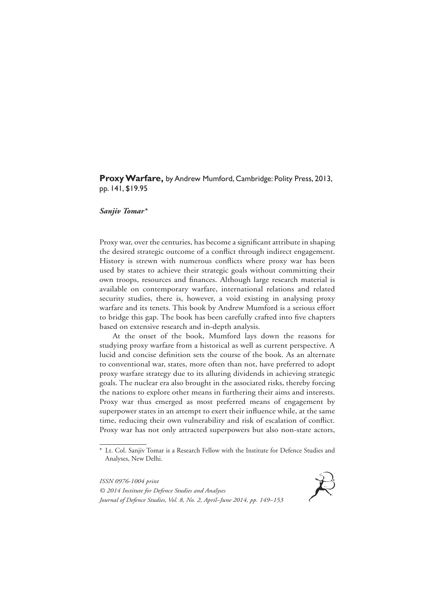**Proxy Warfare,** by Andrew Mumford, Cambridge: Polity Press, 2013, pp. 141, \$19.95

## *Sanjiv Tomar\**

Proxy war, over the centuries, has become a significant attribute in shaping the desired strategic outcome of a conflict through indirect engagement. History is strewn with numerous conflicts where proxy war has been used by states to achieve their strategic goals without committing their own troops, resources and finances. Although large research material is available on contemporary warfare, international relations and related security studies, there is, however, a void existing in analysing proxy warfare and its tenets. This book by Andrew Mumford is a serious effort to bridge this gap. The book has been carefully crafted into five chapters based on extensive research and in-depth analysis.

At the onset of the book, Mumford lays down the reasons for studying proxy warfare from a historical as well as current perspective. A lucid and concise definition sets the course of the book. As an alternate to conventional war, states, more often than not, have preferred to adopt proxy warfare strategy due to its alluring dividends in achieving strategic goals. The nuclear era also brought in the associated risks, thereby forcing the nations to explore other means in furthering their aims and interests. Proxy war thus emerged as most preferred means of engagement by superpower states in an attempt to exert their influence while, at the same time, reducing their own vulnerability and risk of escalation of conflict. Proxy war has not only attracted superpowers but also non-state actors,

*ISSN 0976-1004 print © 2014 Institute for Defence Studies and Analyses Journal of Defence Studies, Vol. 8, No. 2, April–June 2014, pp. 149–153*



<sup>\*</sup> Lt. Col. Sanjiv Tomar is a Research Fellow with the Institute for Defence Studies and Analyses, New Delhi.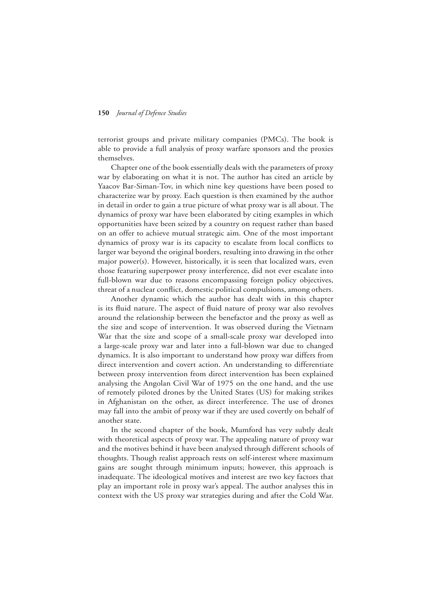## **150** *Journal of Defence Studies*

terrorist groups and private military companies (PMCs). The book is able to provide a full analysis of proxy warfare sponsors and the proxies themselves.

Chapter one of the book essentially deals with the parameters of proxy war by elaborating on what it is not. The author has cited an article by Yaacov Bar-Siman-Tov, in which nine key questions have been posed to characterize war by proxy. Each question is then examined by the author in detail in order to gain a true picture of what proxy war is all about. The dynamics of proxy war have been elaborated by citing examples in which opportunities have been seized by a country on request rather than based on an offer to achieve mutual strategic aim. One of the most important dynamics of proxy war is its capacity to escalate from local conflicts to larger war beyond the original borders, resulting into drawing in the other major power(s). However, historically, it is seen that localized wars, even those featuring superpower proxy interference, did not ever escalate into full-blown war due to reasons encompassing foreign policy objectives, threat of a nuclear conflict, domestic political compulsions, among others.

Another dynamic which the author has dealt with in this chapter is its fluid nature. The aspect of fluid nature of proxy war also revolves around the relationship between the benefactor and the proxy as well as the size and scope of intervention. It was observed during the Vietnam War that the size and scope of a small-scale proxy war developed into a large-scale proxy war and later into a full-blown war due to changed dynamics. It is also important to understand how proxy war differs from direct intervention and covert action. An understanding to differentiate between proxy intervention from direct intervention has been explained analysing the Angolan Civil War of 1975 on the one hand, and the use of remotely piloted drones by the United States (US) for making strikes in Afghanistan on the other, as direct interference. The use of drones may fall into the ambit of proxy war if they are used covertly on behalf of another state.

In the second chapter of the book, Mumford has very subtly dealt with theoretical aspects of proxy war. The appealing nature of proxy war and the motives behind it have been analysed through different schools of thoughts. Though realist approach rests on self-interest where maximum gains are sought through minimum inputs; however, this approach is inadequate. The ideological motives and interest are two key factors that play an important role in proxy war's appeal. The author analyses this in context with the US proxy war strategies during and after the Cold War.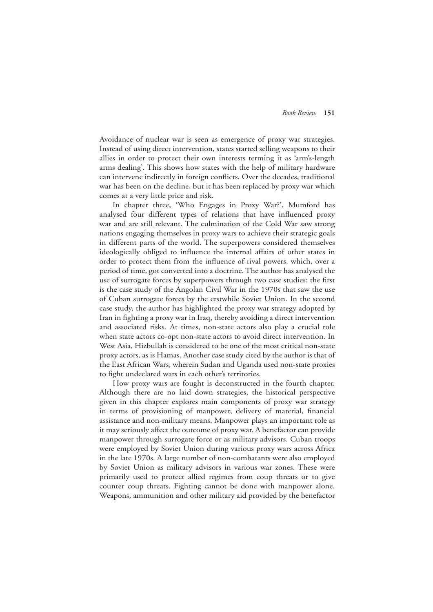Avoidance of nuclear war is seen as emergence of proxy war strategies. Instead of using direct intervention, states started selling weapons to their allies in order to protect their own interests terming it as 'arm's-length arms dealing'. This shows how states with the help of military hardware can intervene indirectly in foreign conflicts. Over the decades, traditional war has been on the decline, but it has been replaced by proxy war which comes at a very little price and risk.

In chapter three, 'Who Engages in Proxy War?', Mumford has analysed four different types of relations that have influenced proxy war and are still relevant. The culmination of the Cold War saw strong nations engaging themselves in proxy wars to achieve their strategic goals in different parts of the world. The superpowers considered themselves ideologically obliged to influence the internal affairs of other states in order to protect them from the influence of rival powers, which, over a period of time, got converted into a doctrine. The author has analysed the use of surrogate forces by superpowers through two case studies: the first is the case study of the Angolan Civil War in the 1970s that saw the use of Cuban surrogate forces by the erstwhile Soviet Union. In the second case study, the author has highlighted the proxy war strategy adopted by Iran in fighting a proxy war in Iraq, thereby avoiding a direct intervention and associated risks. At times, non-state actors also play a crucial role when state actors co-opt non-state actors to avoid direct intervention. In West Asia, Hizbullah is considered to be one of the most critical non-state proxy actors, as is Hamas. Another case study cited by the author is that of the East African Wars, wherein Sudan and Uganda used non-state proxies to fight undeclared wars in each other's territories.

How proxy wars are fought is deconstructed in the fourth chapter. Although there are no laid down strategies, the historical perspective given in this chapter explores main components of proxy war strategy in terms of provisioning of manpower, delivery of material, financial assistance and non-military means. Manpower plays an important role as it may seriously affect the outcome of proxy war. A benefactor can provide manpower through surrogate force or as military advisors. Cuban troops were employed by Soviet Union during various proxy wars across Africa in the late 1970s. A large number of non-combatants were also employed by Soviet Union as military advisors in various war zones. These were primarily used to protect allied regimes from coup threats or to give counter coup threats. Fighting cannot be done with manpower alone. Weapons, ammunition and other military aid provided by the benefactor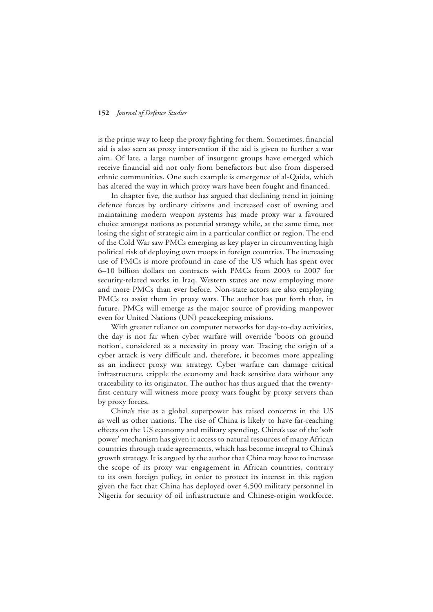## **152** *Journal of Defence Studies*

is the prime way to keep the proxy fighting for them. Sometimes, financial aid is also seen as proxy intervention if the aid is given to further a war aim. Of late, a large number of insurgent groups have emerged which receive financial aid not only from benefactors but also from dispersed ethnic communities. One such example is emergence of al-Qaida, which has altered the way in which proxy wars have been fought and financed.

In chapter five, the author has argued that declining trend in joining defence forces by ordinary citizens and increased cost of owning and maintaining modern weapon systems has made proxy war a favoured choice amongst nations as potential strategy while, at the same time, not losing the sight of strategic aim in a particular conflict or region. The end of the Cold War saw PMCs emerging as key player in circumventing high political risk of deploying own troops in foreign countries. The increasing use of PMCs is more profound in case of the US which has spent over 6–10 billion dollars on contracts with PMCs from 2003 to 2007 for security-related works in Iraq. Western states are now employing more and more PMCs than ever before. Non-state actors are also employing PMCs to assist them in proxy wars. The author has put forth that, in future, PMCs will emerge as the major source of providing manpower even for United Nations (UN) peacekeeping missions.

With greater reliance on computer networks for day-to-day activities, the day is not far when cyber warfare will override 'boots on ground notion', considered as a necessity in proxy war. Tracing the origin of a cyber attack is very difficult and, therefore, it becomes more appealing as an indirect proxy war strategy. Cyber warfare can damage critical infrastructure, cripple the economy and hack sensitive data without any traceability to its originator. The author has thus argued that the twentyfirst century will witness more proxy wars fought by proxy servers than by proxy forces.

China's rise as a global superpower has raised concerns in the US as well as other nations. The rise of China is likely to have far-reaching effects on the US economy and military spending. China's use of the 'soft power' mechanism has given it access to natural resources of many African countries through trade agreements, which has become integral to China's growth strategy. It is argued by the author that China may have to increase the scope of its proxy war engagement in African countries, contrary to its own foreign policy, in order to protect its interest in this region given the fact that China has deployed over 4,500 military personnel in Nigeria for security of oil infrastructure and Chinese-origin workforce.